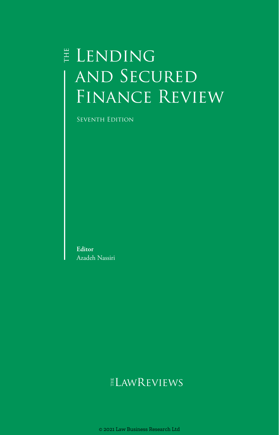# E LENDING and Secured Finance Review

Seventh Edition

**Editor** Azadeh Nassiri

# ELAWREVIEWS

© 2021 Law Business Research Ltd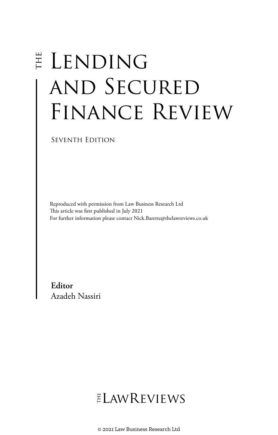# E LENDING and Secured FINANCE REVIEW

Seventh Edition

Reproduced with permission from Law Business Research Ltd This article was first published in July 2021 For further information please contact Nick.Barette@thelawreviews.co.uk

**Editor** Azadeh Nassiri

# ELAWREVIEWS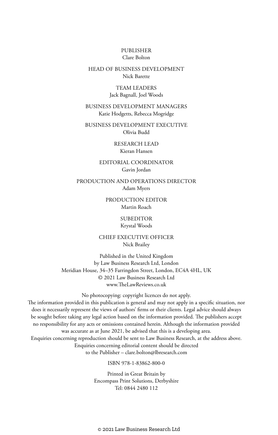#### PUBLISHER Clare Bolton

# HEAD OF BUSINESS DEVELOPMENT Nick Barette

# TEAM LEADERS Jack Bagnall, Joel Woods

# BUSINESS DEVELOPMENT MANAGERS Katie Hodgetts, Rebecca Mogridge

BUSINESS DEVELOPMENT EXECUTIVE Olivia Budd

> RESEARCH LEAD Kieran Hansen

### EDITORIAL COORDINATOR Gavin Jordan

PRODUCTION AND OPERATIONS DIRECTOR Adam Myers

> PRODUCTION EDITOR Martin Roach

# SUBEDITOR Krystal Woods

### CHIEF EXECUTIVE OFFICER Nick Brailey

Published in the United Kingdom by Law Business Research Ltd, London Meridian House, 34–35 Farringdon Street, London, EC4A 4HL, UK © 2021 Law Business Research Ltd www.TheLawReviews.co.uk

No photocopying: copyright licences do not apply. The information provided in this publication is general and may not apply in a specific situation, nor does it necessarily represent the views of authors' firms or their clients. Legal advice should always be sought before taking any legal action based on the information provided. The publishers accept no responsibility for any acts or omissions contained herein. Although the information provided was accurate as at June 2021, be advised that this is a developing area. Enquiries concerning reproduction should be sent to Law Business Research, at the address above. Enquiries concerning editorial content should be directed to the Publisher – clare.bolton@lbresearch.com

# ISBN 978-1-83862-800-0

Printed in Great Britain by Encompass Print Solutions, Derbyshire Tel: 0844 2480 112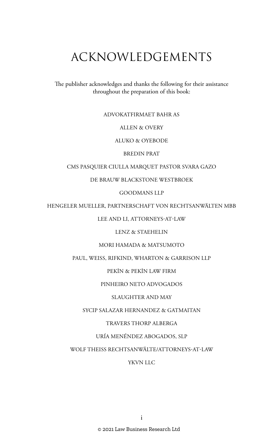# ACKNOWLEDGEMENTS

The publisher acknowledges and thanks the following for their assistance throughout the preparation of this book:

# ADVOKATFIRMAET BAHR AS

ALLEN & OVERY

ALUKO & OYEBODE

BREDIN PRAT

# CMS PASQUIER CIULLA MARQUET PASTOR SVARA GAZO

DE BRAUW BLACKSTONE WESTBROEK

GOODMANS LLP

HENGELER MUELLER, PARTNERSCHAFT VON RECHTSANWÄLTEN MBB

LEE AND LI, ATTORNEYS-AT-LAW

LENZ & STAEHELIN

MORI HAMADA & MATSUMOTO

PAUL, WEISS, RIFKIND, WHARTON & GARRISON LLP

PEKIN & PEKIN LAW FIRM

PINHEIRO NETO ADVOGADOS

SLAUGHTER AND MAY

SYCIP SALAZAR HERNANDEZ & GATMAITAN

TRAVERS THORP ALBERGA

URÍA MENÉNDEZ ABOGADOS, SLP

WOLF THEISS RECHTSANWÄLTE/ATTORNEYS-AT-LAW

YKVN LLC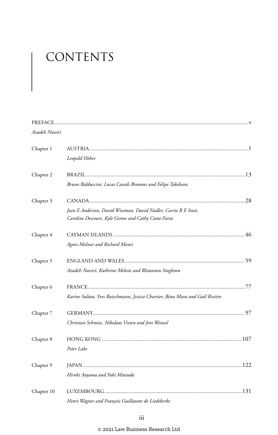# CONTENTS

| Azadeh Nassiri |                                                                                                                       |  |
|----------------|-----------------------------------------------------------------------------------------------------------------------|--|
| Chapter 1      | Leopold Höher                                                                                                         |  |
| Chapter 2      | Bruno Balduccini, Lucas Cassoli Bretones and Felipe Takehara                                                          |  |
| Chapter 3      | Jean E Anderson, David Wiseman, David Nadler, Carrie B E Smit,<br>Caroline Descours, Kyle Gerow and Cathy Costa-Faria |  |
| Chapter 4      | Agnes Molnar and Richard Mansi                                                                                        |  |
| Chapter 5      | Azadeh Nassiri, Kathrine Meloni and Rhiannon Singleton                                                                |  |
| Chapter 6      | Karine Sultan, Yves Rutschmann, Jessica Chartier, Béna Mara and Gaël Rivière                                          |  |
| Chapter 7      | Christian Schmies, Nikolaus Vieten and Jens Wenzel                                                                    |  |
| Chapter 8      | Peter Lake                                                                                                            |  |
| Chapter 9      | Hiroki Aoyama and Yuki Matsuda                                                                                        |  |
| Chapter 10     | Henri Wagner and François Guillaume de Liedekerke                                                                     |  |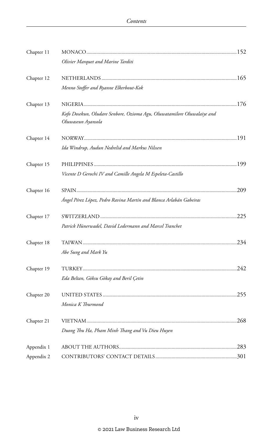| Chapter 11 |                                                                                               |  |
|------------|-----------------------------------------------------------------------------------------------|--|
|            | Olivier Marquet and Marine Tarditi                                                            |  |
| Chapter 12 |                                                                                               |  |
|            | Menno Stoffer and Ryanne Elkerbout-Kok                                                        |  |
| Chapter 13 |                                                                                               |  |
|            | Kofo Dosekun, Oludare Senbore, Ozioma Agu, Oluwatamilore Oluwalaiye and<br>Oluwaseun Ayansola |  |
| Chapter 14 |                                                                                               |  |
|            | Ida Windrup, Audun Nedrelid and Markus Nilssen                                                |  |
| Chapter 15 |                                                                                               |  |
|            | Vicente D Gerochi IV and Camille Angela M Espeleta-Castillo                                   |  |
| Chapter 16 |                                                                                               |  |
|            | Ángel Pérez López, Pedro Ravina Martín and Blanca Arlabán Gabeiras                            |  |
| Chapter 17 |                                                                                               |  |
|            | Patrick Hünerwadel, David Ledermann and Marcel Tranchet                                       |  |
| Chapter 18 |                                                                                               |  |
|            | Abe Sung and Mark Yu                                                                          |  |
| Chapter 19 |                                                                                               |  |
|            | Eda Beltan, Göksu Gökay and Beril Çetin                                                       |  |
| Chapter 20 |                                                                                               |  |
|            | Monica K Thurmond                                                                             |  |
| Chapter 21 |                                                                                               |  |
|            | Duong Thu Ha, Pham Minh Thang and Vu Dieu Huyen                                               |  |
| Appendix 1 |                                                                                               |  |
| Appendix 2 |                                                                                               |  |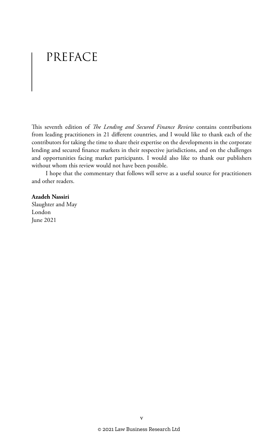# PREFACE

This seventh edition of *The Lending and Secured Finance Review* contains contributions from leading practitioners in 21 different countries, and I would like to thank each of the contributors for taking the time to share their expertise on the developments in the corporate lending and secured finance markets in their respective jurisdictions, and on the challenges and opportunities facing market participants. I would also like to thank our publishers without whom this review would not have been possible.

I hope that the commentary that follows will serve as a useful source for practitioners and other readers.

#### **Azadeh Nassiri**

Slaughter and May London June 2021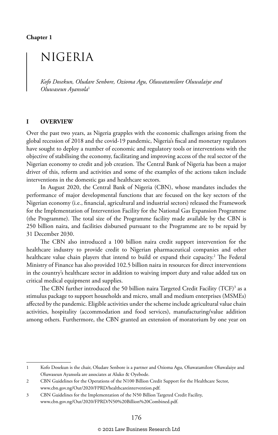**Chapter 1**

# NIGERIA

*Kofo Dosekun, Oludare Senbore, Ozioma Agu, Oluwatamilore Oluwalaiye and Oluwaseun Ayansola*<sup>1</sup>

# **I OVERVIEW**

Over the past two years, as Nigeria grapples with the economic challenges arising from the global recession of 2018 and the covid-19 pandemic, Nigeria's fiscal and monetary regulators have sought to deploy a number of economic and regulatory tools or interventions with the objective of stabilising the economy, facilitating and improving access of the real sector of the Nigerian economy to credit and job creation. The Central Bank of Nigeria has been a major driver of this, reform and activities and some of the examples of the actions taken include interventions in the domestic gas and healthcare sectors.

In August 2020, the Central Bank of Nigeria (CBN), whose mandates includes the performance of major developmental functions that are focused on the key sectors of the Nigerian economy (i.e., financial, agricultural and industrial sectors) released the Framework for the Implementation of Intervention Facility for the National Gas Expansion Programme (the Programme). The total size of the Programme facility made available by the CBN is 250 billion naira, and facilities disbursed pursuant to the Programme are to be repaid by 31 December 2030.

The CBN also introduced a 100 billion naira credit support intervention for the healthcare industry to provide credit to Nigerian pharmaceutical companies and other healthcare value chain players that intend to build or expand their capacity.<sup>2</sup> The Federal Ministry of Finance has also provided 102.5 billion naira in resources for direct interventions in the country's healthcare sector in addition to waiving import duty and value added tax on critical medical equipment and supplies.

The CBN further introduced the 50 billion naira Targeted Credit Facility (TCF)<sup>3</sup> as a stimulus package to support households and micro, small and medium enterprises (MSMEs) affected by the pandemic. Eligible activities under the scheme include agricultural value chain activities, hospitality (accommodation and food services), manufacturing/value addition among others. Furthermore, the CBN granted an extension of moratorium by one year on

<sup>1</sup> Kofo Dosekun is the chair, Oludare Senbore is a partner and Ozioma Agu, Oluwatamilore Oluwalaiye and Oluwaseun Ayansola are associates at Aluko & Oyebode.

<sup>2</sup> CBN Guidelines for the Operations of the N100 Billion Credit Support for the Healthcare Sector, www.cbn.gov.ng/Out/2020/FPRD/healthcareintervention.pdf.

<sup>3</sup> CBN Guidelines for the Implementation of the N50 Billion Targeted Credit Facility, www.cbn.gov.ng/Out/2020/FPRD/N50%20Billion%20Combined.pdf.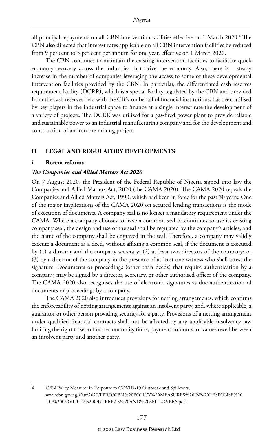all principal repayments on all CBN intervention facilities effective on 1 March 2020.<sup>4</sup> The CBN also directed that interest rates applicable on all CBN intervention facilities be reduced from 9 per cent to 5 per cent per annum for one year, effective on 1 March 2020.

The CBN continues to maintain the existing intervention facilities to facilitate quick economy recovery across the industries that drive the economy. Also, there is a steady increase in the number of companies leveraging the access to some of these developmental intervention facilities provided by the CBN. In particular, the differentiated cash reserves requirement facility (DCRR), which is a special facility regulated by the CBN and provided from the cash reserves held with the CBN on behalf of financial institutions, has been utilised by key players in the industrial space to finance at a single interest rate the development of a variety of projects. The DCRR was utilized for a gas-fired power plant to provide reliable and sustainable power to an industrial manufacturing company and for the development and construction of an iron ore mining project.

### **II LEGAL AND REGULATORY DEVELOPMENTS**

#### **i Recent reforms**

#### *The Companies and Allied Matters Act 2020*

On 7 August 2020, the President of the Federal Republic of Nigeria signed into law the Companies and Allied Matters Act, 2020 (the CAMA 2020). The CAMA 2020 repeals the Companies and Allied Matters Act, 1990, which had been in force for the past 30 years. One of the major implications of the CAMA 2020 on secured lending transactions is the mode of execution of documents. A company seal is no longer a mandatory requirement under the CAMA. Where a company chooses to have a common seal or continues to use its existing company seal, the design and use of the seal shall be regulated by the company's articles, and the name of the company shall be engraved in the seal. Therefore, a company may validly execute a document as a deed, without affixing a common seal, if the document is executed by (1) a director and the company secretary; (2) at least two directors of the company; or (3) by a director of the company in the presence of at least one witness who shall attest the signature. Documents or proceedings (other than deeds) that require authentication by a company, may be signed by a director, secretary, or other authorised officer of the company. The CAMA 2020 also recognises the use of electronic signatures as due authentication of documents or proceedings by a company.

The CAMA 2020 also introduces provisions for netting arrangements, which confirms the enforceability of netting arrangements against an insolvent party, and, where applicable, a guarantor or other person providing security for a party. Provisions of a netting arrangement under qualified financial contracts shall not be affected by any applicable insolvency law limiting the right to set-off or net-out obligations, payment amounts, or values owed between an insolvent party and another party.

<sup>4</sup> CBN Policy Measures in Response to COVID-19 Outbreak and Spillovers, www.cbn.gov.ng/Out/2020/FPRD/CBN%20POLICY%20MEASURES%20IN%20RESPONSE%20 TO%20COVID-19%20OUTBREAK%20AND%20SPILLOVERS.pdf.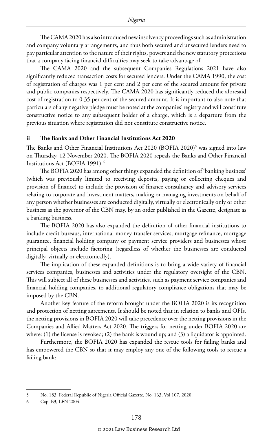The CAMA 2020 has also introduced new insolvency proceedings such as administration and company voluntary arrangements, and thus both secured and unsecured lenders need to pay particular attention to the nature of their rights, powers and the new statutory protections that a company facing financial difficulties may seek to take advantage of.

The CAMA 2020 and the subsequent Companies Regulations 2021 have also significantly reduced transaction costs for secured lenders. Under the CAMA 1990, the cost of registration of charges was 1 per cent and 2 per cent of the secured amount for private and public companies respectively. The CAMA 2020 has significantly reduced the aforesaid cost of registration to 0.35 per cent of the secured amount. It is important to also note that particulars of any negative pledge must be noted at the companies' registry and will constitute constructive notice to any subsequent holder of a charge, which is a departure from the previous situation where registration did not constitute constructive notice.

# **ii The Banks and Other Financial Institutions Act 2020**

The Banks and Other Financial Institutions Act 2020 (BOFIA 2020)<sup>5</sup> was signed into law on Thursday, 12 November 2020. The BOFIA 2020 repeals the Banks and Other Financial Institutions Act (BOFIA 1991).<sup>6</sup>

The BOFIA 2020 has among other things expanded the definition of 'banking business' (which was previously limited to receiving deposits, paying or collecting cheques and provision of finance) to include the provision of finance consultancy and advisory services relating to corporate and investment matters, making or managing investments on behalf of any person whether businesses are conducted digitally, virtually or electronically only or other business as the governor of the CBN may, by an order published in the Gazette, designate as a banking business.

The BOFIA 2020 has also expanded the definition of other financial institutions to include credit bureaus, international money transfer services, mortgage refinance, mortgage guarantee, financial holding company or payment service providers and businesses whose principal objects include factoring (regardless of whether the businesses are conducted digitally, virtually or electronically).

The implication of these expanded definitions is to bring a wide variety of financial services companies, businesses and activities under the regulatory oversight of the CBN. This will subject all of these businesses and activities, such as payment service companies and financial holding companies, to additional regulatory compliance obligations that may be imposed by the CBN.

Another key feature of the reform brought under the BOFIA 2020 is its recognition and protection of netting agreements. It should be noted that in relation to banks and OFIs, the netting provisions in BOFIA 2020 will take precedence over the netting provisions in the Companies and Allied Matters Act 2020. The triggers for netting under BOFIA 2020 are where: (1) the license is revoked; (2) the bank is wound up; and (3) a liquidator is appointed.

Furthermore, the BOFIA 2020 has expanded the rescue tools for failing banks and has empowered the CBN so that it may employ any one of the following tools to rescue a failing bank:

<sup>5</sup> No. 183, Federal Republic of Nigeria Official Gazette, No. 163, Vol 107, 2020.

<sup>6</sup> Cap. B3, LFN 2004.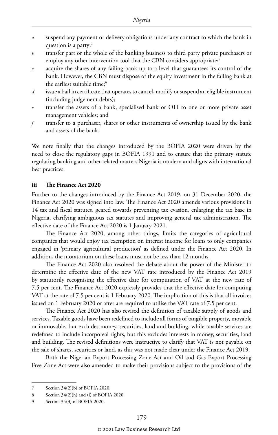- *a* suspend any payment or delivery obligations under any contract to which the bank in question is a party;<sup>7</sup>
- *b* transfer part or the whole of the banking business to third party private purchasers or employ any other intervention tool that the CBN considers appropriate;<sup>8</sup>
- *c* acquire the shares of any failing bank up to a level that guarantees its control of the bank. However, the CBN must dispose of the equity investment in the failing bank at the earliest suitable time;<sup>9</sup>
- *d* issue a bail in certificate that operates to cancel, modify or suspend an eligible instrument (including judgement debts);
- transfer the assets of a bank, specialised bank or OFI to one or more private asset management vehicles; and
- *f* transfer to a purchaser, shares or other instruments of ownership issued by the bank and assets of the bank.

We note finally that the changes introduced by the BOFIA 2020 were driven by the need to close the regulatory gaps in BOFIA 1991 and to ensure that the primary statute regulating banking and other related matters Nigeria is modern and aligns with international best practices.

#### **iii The Finance Act 2020**

Further to the changes introduced by the Finance Act 2019, on 31 December 2020, the Finance Act 2020 was signed into law. The Finance Act 2020 amends various provisions in 14 tax and fiscal statutes, geared towards preventing tax evasion, enlarging the tax base in Nigeria, clarifying ambiguous tax statutes and improving general tax administration. The effective date of the Finance Act 2020 is 1 January 2021.

The Finance Act 2020, among other things, limits the categories of agricultural companies that would enjoy tax exemption on interest income for loans to only companies engaged in 'primary agricultural production' as defined under the Finance Act 2020. In addition, the moratorium on these loans must not be less than 12 months.

The Finance Act 2020 also resolved the debate about the power of the Minister to determine the effective date of the new VAT rate introduced by the Finance Act 2019 by statutorily recognising the effective date for computation of VAT at the new rate of 7.5 per cent. The Finance Act 2020 expressly provides that the effective date for computing VAT at the rate of 7.5 per cent is 1 February 2020. The implication of this is that all invoices issued on 1 February 2020 or after are required to utilise the VAT rate of 7.5 per cent.

The Finance Act 2020 has also revised the definition of taxable supply of goods and services. Taxable goods have been redefined to include all forms of tangible property, movable or immovable, but excludes money, securities, land and building, while taxable services are redefined to include incorporeal rights, but this excludes interests in money, securities, land and building. The revised definitions were instructive to clarify that VAT is not payable on the sale of shares, securities or land, as this was not made clear under the Finance Act 2019.

Both the Nigerian Export Processing Zone Act and Oil and Gas Export Processing Free Zone Act were also amended to make their provisions subject to the provisions of the

<sup>7</sup> Section 34(2)(b) of BOFIA 2020.

<sup>8</sup> Section 34(2)(h) and (i) of BOFIA 2020.

<sup>9</sup> Section 34(3) of BOFIA 2020.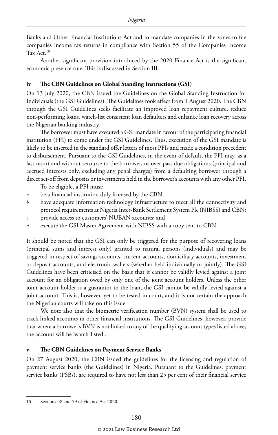Banks and Other Financial Institutions Act and to mandate companies in the zones to file companies income tax returns in compliance with Section 55 of the Companies Income Tax Act.10

Another significant provision introduced by the 2020 Finance Act is the significant economic presence rule. This is discussed in Section III.

# **iv The CBN Guidelines on Global Standing Instructions (GSI)**

On 13 July 2020, the CBN issued the Guidelines on the Global Standing Instruction for Individuals (the GSI Guidelines). The Guidelines took effect from 1 August 2020. The CBN through the GSI Guidelines seeks facilitate an improved loan repayment culture, reduce non-performing loans, watch-list consistent loan defaulters and enhance loan recovery across the Nigerian banking industry.

The borrower must have executed a GSI mandate in favour of the participating financial institution (PFI) to come under the GSI Guidelines. Thus, execution of the GSI mandate is likely to be inserted in the standard offer letters of most PFIs and made a condition precedent to disbursement. Pursuant to the GSI Guidelines, in the event of default, the PFI may, as a last resort and without recourse to the borrower, recover past due obligations (principal and accrued interests only, excluding any penal charges) from a defaulting borrower through a direct set-off from deposits or investments held in the borrower's accounts with any other PFI.

To be eligible, a PFI must:

- *a* be a financial institution duly licensed by the CBN;
- *b* have adequate information technology infrastructure to meet all the connectivity and protocol requirements at Nigeria Inter-Bank Settlement System Plc (NIBSS) and CBN;
- *c* provide access to customers' NUBAN accounts; and
- *d* execute the GSI Master Agreement with NIBSS with a copy sent to CBN.

It should be noted that the GSI can only be triggered for the purpose of recovering loans (principal sums and interest only) granted to natural persons (individuals) and may be triggered in respect of savings accounts, current accounts, domiciliary accounts, investment or deposit accounts, and electronic wallets (whether held individually or jointly). The GSI Guidelines have been criticised on the basis that it cannot be validly levied against a joint account for an obligation owed by only one of the joint account holders. Unless the other joint account holder is a guarantor to the loan, the GSI cannot be validly levied against a joint account. This is, however, yet to be tested in court, and it is not certain the approach the Nigerian courts will take on this issue.

We note also that the biometric verification number (BVN) system shall be used to track linked accounts in other financial institutions. The GSI Guidelines, however, provide that where a borrower's BVN is not linked to any of the qualifying account types listed above, the account will be 'watch-listed'.

### **v The CBN Guidelines on Payment Service Banks**

On 27 August 2020, the CBN issued the guidelines for the licensing and regulation of payment service banks (the Guidelines) in Nigeria. Pursuant to the Guidelines, payment service banks (PSBs), are required to have not less than 25 per cent of their financial service

<sup>10</sup> Sections 58 and 59 of Finance Act 2020.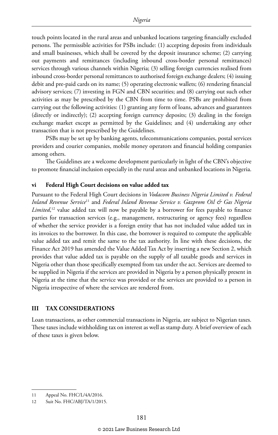touch points located in the rural areas and unbanked locations targeting financially excluded persons. The permissible activities for PSBs include: (1) accepting deposits from individuals and small businesses, which shall be covered by the deposit insurance scheme; (2) carrying out payments and remittances (including inbound cross-border personal remittances) services through various channels within Nigeria; (3) selling foreign currencies realised from inbound cross-border personal remittances to authorised foreign exchange dealers; (4) issuing debit and pre-paid cards on its name; (5) operating electronic wallets; (6) rendering financial advisory services; (7) investing in FGN and CBN securities; and (8) carrying out such other activities as may be prescribed by the CBN from time to time. PSBs are prohibited from carrying out the following activities: (1) granting any form of loans, advances and guarantees (directly or indirectly); (2) accepting foreign currency deposits; (3) dealing in the foreign exchange market except as permitted by the Guidelines; and (4) undertaking any other transaction that is not prescribed by the Guidelines.

PSBs may be set up by banking agents, telecommunications companies, postal services providers and courier companies, mobile money operators and financial holding companies among others.

The Guidelines are a welcome development particularly in light of the CBN's objective to promote financial inclusion especially in the rural areas and unbanked locations in Nigeria.

# **vi Federal High Court decisions on value added tax**

Pursuant to the Federal High Court decisions in *Vodacom Business Nigeria Limited v. Federal Inland Revenue Service*11 and *Federal Inland Revenue Service v. Gazprom Oil & Gas Nigeria Limited*, 12 value added tax will now be payable by a borrower for fees payable to finance parties for transaction services (e.g., management, restructuring or agency fees) regardless of whether the service provider is a foreign entity that has not included value added tax in its invoices to the borrower. In this case, the borrower is required to compute the applicable value added tax and remit the same to the tax authority. In line with these decisions, the Finance Act 2019 has amended the Value Added Tax Act by inserting a new Section 2, which provides that value added tax is payable on the supply of all taxable goods and services in Nigeria other than those specifically exempted from tax under the act. Services are deemed to be supplied in Nigeria if the services are provided in Nigeria by a person physically present in Nigeria at the time that the service was provided or the services are provided to a person in Nigeria irrespective of where the services are rendered from.

# **III TAX CONSIDERATIONS**

Loan transactions, as other commercial transactions in Nigeria, are subject to Nigerian taxes. These taxes include withholding tax on interest as well as stamp duty. A brief overview of each of these taxes is given below.

<sup>11</sup> Appeal No. FHC/L/4A/2016.

<sup>12</sup> Suit No. FHC/ABJ/TA/1/2015.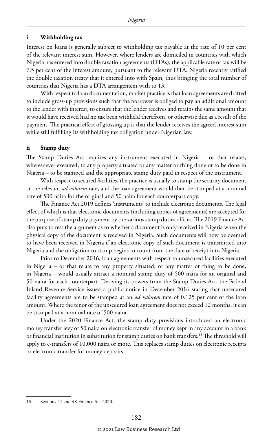### **i Withholding tax**

Interest on loans is generally subject to withholding tax payable at the rate of 10 per cent of the relevant interest sum. However, where lenders are domiciled in countries with which Nigeria has entered into double taxation agreements (DTAs), the applicable rate of tax will be 7.5 per cent of the interest amount, pursuant to the relevant DTA. Nigeria recently ratified the double taxation treaty that it entered into with Spain, thus bringing the total number of countries that Nigeria has a DTA arrangement with to 13.

With respect to loan documentation, market practice is that loan agreements are drafted to include gross-up provisions such that the borrower is obliged to pay an additional amount to the lender with interest, to ensure that the lender receives and retains the same amount that it would have received had no tax been withheld therefrom, or otherwise due as a result of the payment. The practical effect of grossing up is that the lender receives the agreed interest sum while still fulfilling its withholding tax obligation under Nigerian law.

#### **ii Stamp duty**

The Stamp Duties Act requires any instrument executed in Nigeria – or that relates, wheresoever executed, to any property situated or any matter or thing done or to be done in Nigeria – to be stamped and the appropriate stamp duty paid in respect of the instrument.

With respect to secured facilities, the practice is usually to stamp the security document at the relevant *ad valorem* rate, and the loan agreement would then be stamped at a nominal rate of 500 naira for the original and 50 naira for each counterpart copy.

The Finance Act 2019 defines 'instruments' to include electronic documents. The legal effect of which is that electronic documents (including copies of agreements) are accepted for the purpose of stamp duty payment by the various stamp duties offices. The 2019 Finance Act also puts to rest the argument as to whether a document is only received in Nigeria when the physical copy of the document is received in Nigeria. Such documents will now be deemed to have been received in Nigeria if an electronic copy of such document is transmitted into Nigeria and the obligation to stamp begins to count from the date of receipt into Nigeria.

Prior to December 2016, loan agreements with respect to unsecured facilities executed in Nigeria – or that relate to any property situated, or any matter or thing to be done, in Nigeria – would usually attract a nominal stamp duty of 500 naira for an original and 50 naira for each counterpart. Deriving its powers from the Stamp Duties Act, the Federal Inland Revenue Service issued a public notice in December 2016 stating that unsecured facility agreements are to be stamped at an *ad valorem* rate of 0.125 per cent of the loan amount. Where the tenor of the unsecured loan agreement does not exceed 12 months, it can be stamped at a nominal rate of 500 naira.

Under the 2020 Finance Act, the stamp duty provisions introduced an electronic money transfer levy of 50 naira on electronic transfer of money kept in any account in a bank or financial institution in substitution for stamp duties on bank transfers.13 The threshold will apply to e-transfers of 10,000 naira or more. This replaces stamp duties on electronic receipts or electronic transfer for money deposits.

<sup>13</sup> Sections 47 and 48 Finance Act 2020.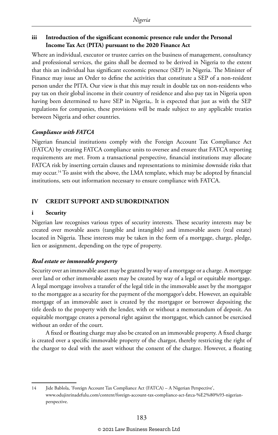# **iii Introduction of the significant economic presence rule under the Personal Income Tax Act (PITA) pursuant to the 2020 Finance Act**

Where an individual, executor or trustee carries on the business of management, consultancy and professional services, the gains shall be deemed to be derived in Nigeria to the extent that this an individual has significant economic presence (SEP) in Nigeria. The Minister of Finance may issue an Order to define the activities that constitute a SEP of a non-resident person under the PITA. Our view is that this may result in double tax on non-residents who pay tax on their global income in their country of residence and also pay tax in Nigeria upon having been determined to have SEP in Nigeria,. It is expected that just as with the SEP regulations for companies, these provisions will be made subject to any applicable treaties between Nigeria and other countries.

# *Compliance with FATCA*

Nigerian financial institutions comply with the Foreign Account Tax Compliance Act (FATCA) by creating FATCA compliance units to oversee and ensure that FATCA reporting requirements are met. From a transactional perspective, financial institutions may allocate FATCA risk by inserting certain clauses and representations to minimise downside risks that may occur.<sup>14</sup> To assist with the above, the LMA template, which may be adopted by financial institutions, sets out information necessary to ensure compliance with FATCA.

# **IV CREDIT SUPPORT AND SUBORDINATION**

# **i Security**

Nigerian law recognises various types of security interests. These security interests may be created over movable assets (tangible and intangible) and immovable assets (real estate) located in Nigeria. These interests may be taken in the form of a mortgage, charge, pledge, lien or assignment, depending on the type of property.

# *Real estate or immovable property*

Security over an immovable asset may be granted by way of a mortgage or a charge. A mortgage over land or other immovable assets may be created by way of a legal or equitable mortgage. A legal mortgage involves a transfer of the legal title in the immovable asset by the mortgagor to the mortgagee as a security for the payment of the mortgagor's debt. However, an equitable mortgage of an immovable asset is created by the mortgagor or borrower depositing the title deeds to the property with the lender, with or without a memorandum of deposit. An equitable mortgage creates a personal right against the mortgagor, which cannot be exercised without an order of the court.

A fixed or floating charge may also be created on an immovable property. A fixed charge is created over a specific immovable property of the chargor, thereby restricting the right of the chargor to deal with the asset without the consent of the chargee. However, a floating

<sup>14</sup> Jide Bablola, 'Foreign Account Tax Compliance Act (FATCA) – A Nigerian Perspective', www.odujinrinadefulu.com/content/foreign-account-tax-compliance-act-fatca-%E2%80%93-nigerianperspective.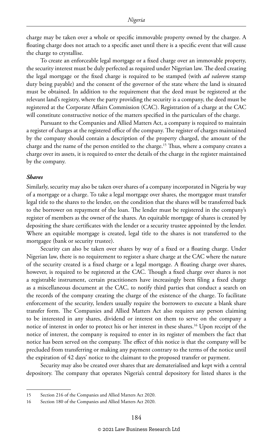charge may be taken over a whole or specific immovable property owned by the chargee. A floating charge does not attach to a specific asset until there is a specific event that will cause the charge to crystallise.

To create an enforceable legal mortgage or a fixed charge over an immovable property, the security interest must be duly perfected as required under Nigerian law. The deed creating the legal mortgage or the fixed charge is required to be stamped (with *ad valorem* stamp duty being payable) and the consent of the governor of the state where the land is situated must be obtained. In addition to the requirement that the deed must be registered at the relevant land's registry, where the party providing the security is a company, the deed must be registered at the Corporate Affairs Commission (CAC). Registration of a charge at the CAC will constitute constructive notice of the matters specified in the particulars of the charge.

Pursuant to the Companies and Allied Matters Act, a company is required to maintain a register of charges at the registered office of the company. The register of charges maintained by the company should contain a description of the property charged, the amount of the charge and the name of the person entitled to the charge.15 Thus, where a company creates a charge over its assets, it is required to enter the details of the charge in the register maintained by the company.

#### *Shares*

Similarly, security may also be taken over shares of a company incorporated in Nigeria by way of a mortgage or a charge. To take a legal mortgage over shares, the mortgagor must transfer legal title to the shares to the lender, on the condition that the shares will be transferred back to the borrower on repayment of the loan. The lender must be registered in the company's register of members as the owner of the shares. An equitable mortgage of shares is created by depositing the share certificates with the lender or a security trustee appointed by the lender. Where an equitable mortgage is created, legal title to the shares is not transferred to the mortgagee (bank or security trustee).

Security can also be taken over shares by way of a fixed or a floating charge. Under Nigerian law, there is no requirement to register a share charge at the CAC where the nature of the security created is a fixed charge or a legal mortgage. A floating charge over shares, however, is required to be registered at the CAC. Though a fixed charge over shares is not a registrable instrument, certain practitioners have increasingly been filing a fixed charge as a miscellaneous document at the CAC, to notify third parties that conduct a search on the records of the company creating the charge of the existence of the charge. To facilitate enforcement of the security, lenders usually require the borrowers to execute a blank share transfer form. The Companies and Allied Matters Act also requires any person claiming to be interested in any shares, dividend or interest on them to serve on the company a notice of interest in order to protect his or her interest in these shares.<sup>16</sup> Upon receipt of the notice of interest, the company is required to enter in its register of members the fact that notice has been served on the company. The effect of this notice is that the company will be precluded from transferring or making any payment contrary to the terms of the notice until the expiration of 42 days' notice to the claimant to the proposed transfer or payment.

Security may also be created over shares that are dematerialised and kept with a central depository. The company that operates Nigeria's central depository for listed shares is the

<sup>15</sup> Section 216 of the Companies and Allied Matters Act 2020.

<sup>16</sup> Section 180 of the Companies and Allied Matters Act 2020.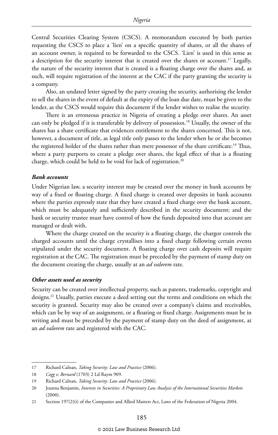Central Securities Clearing System (CSCS). A memorandum executed by both parties requesting the CSCS to place a 'lien' on a specific quantity of shares, or all the shares of an account owner, is required to be forwarded to the CSCS. 'Lien' is used in this sense as a description for the security interest that is created over the shares or account.<sup>17</sup> Legally, the nature of the security interest that is created is a floating charge over the shares and, as such, will require registration of the interest at the CAC if the party granting the security is a company.

Also, an undated letter signed by the party creating the security, authorising the lender to sell the shares in the event of default at the expiry of the loan due date, must be given to the lender, as the CSCS would require this document if the lender wishes to realise the security.

There is an erroneous practice in Nigeria of creating a pledge over shares. An asset can only be pledged if it is transferable by delivery of possession.<sup>18</sup> Usually, the owner of the shares has a share certificate that evidences entitlement to the shares concerned. This is not, however, a document of title, as legal title only passes to the lender when he or she becomes the registered holder of the shares rather than mere possessor of the share certificate.19 Thus, where a party purports to create a pledge over shares, the legal effect of that is a floating charge, which could be held to be void for lack of registration.20

#### *Bank accounts*

Under Nigerian law, a security interest may be created over the money in bank accounts by way of a fixed or floating charge. A fixed charge is created over deposits in bank accounts where the parties expressly state that they have created a fixed charge over the bank account, which must be adequately and sufficiently described in the security document; and the bank or security trustee must have control of how the funds deposited into that account are managed or dealt with.

Where the charge created on the security is a floating charge, the chargor controls the charged accounts until the charge crystallises into a fixed charge following certain events stipulated under the security document. A floating charge over cash deposits will require registration at the CAC. The registration must be preceded by the payment of stamp duty on the document creating the charge, usually at an *ad valorem* rate.

#### *Other assets used as security*

Security can be created over intellectual property, such as patents, trademarks, copyright and designs.<sup>21</sup> Usually, parties execute a deed setting out the terms and conditions on which the security is granted. Security may also be created over a company's claims and receivables, which can be by way of an assignment, or a floating or fixed charge. Assignments must be in writing and must be preceded by the payment of stamp duty on the deed of assignment, at an *ad valorem* rate and registered with the CAC.

<sup>17</sup> Richard Calnan, *Taking Security: Law and Practice* (2006).

<sup>18</sup> *Cogg v. Bernard* (1703) 2 Ld Raym 909.

<sup>19</sup> Richard Calnan, *Taking Security: Law and Practice* (2006).

<sup>20</sup> Joanna Benjamin, *Interests in Securities: A Proprietary Law Analysis of the International Securities Markets*  (2000).

<sup>21</sup> Section 197(2)(i) of the Companies and Allied Matters Act, Laws of the Federation of Nigeria 2004.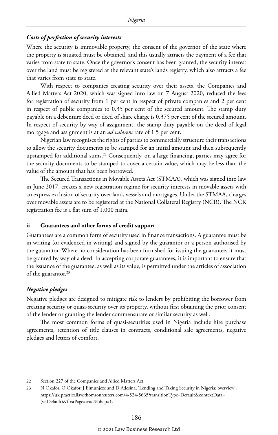### *Costs of perfection of security interests*

Where the security is immovable property, the consent of the governor of the state where the property is situated must be obtained, and this usually attracts the payment of a fee that varies from state to state. Once the governor's consent has been granted, the security interest over the land must be registered at the relevant state's lands registry, which also attracts a fee that varies from state to state.

With respect to companies creating security over their assets, the Companies and Allied Matters Act 2020, which was signed into law on 7 August 2020, reduced the fees for registration of security from 1 per cent in respect of private companies and 2 per cent in respect of public companies to 0.35 per cent of the secured amount. The stamp duty payable on a debenture deed or deed of share charge is 0.375 per cent of the secured amount. In respect of security by way of assignment, the stamp duty payable on the deed of legal mortgage and assignment is at an *ad valorem* rate of 1.5 per cent.

Nigerian law recognises the rights of parties to commercially structure their transactions to allow the security documents to be stamped for an initial amount and then subsequently upstamped for additional sums.22 Consequently, on a large financing, parties may agree for the security documents to be stamped to cover a certain value, which may be less than the value of the amount that has been borrowed.

The Secured Transactions in Movable Assets Act (STMAA), which was signed into law in June 2017, creates a new registration regime for security interests in movable assets with an express exclusion of security over land, vessels and mortgages. Under the STMAA, charges over movable assets are to be registered at the National Collateral Registry (NCR). The NCR registration fee is a flat sum of 1,000 naira.

### **ii Guarantees and other forms of credit support**

Guarantees are a common form of security used in finance transactions. A guarantee must be in writing (or evidenced in writing) and signed by the guarantor or a person authorised by the guarantor. Where no consideration has been furnished for issuing the guarantee, it must be granted by way of a deed. In accepting corporate guarantees, it is important to ensure that the issuance of the guarantee, as well as its value, is permitted under the articles of association of the guarantor.<sup>23</sup>

### *Negative pledges*

Negative pledges are designed to mitigate risk to lenders by prohibiting the borrower from creating security or quasi-security over its property, without first obtaining the prior consent of the lender or granting the lender commensurate or similar security as well.

The most common forms of quasi-securities used in Nigeria include hire purchase agreements, retention of title clauses in contracts, conditional sale agreements, negative pledges and letters of comfort.

<sup>22</sup> Section 227 of the Companies and Allied Matters Act.

<sup>23</sup> N Okafor, O Okafor, J Eimunjeze and D Adesina, 'Lending and Taking Security in Nigeria: overview', https://uk.practicallaw.thomsonreuters.com/4-524-5665?transitionType=Default&contextData= (sc.Default)&firstPage=true&bhcp=1.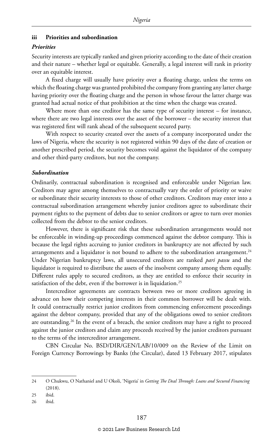# **iii Priorities and subordination**

#### *Priorities*

Security interests are typically ranked and given priority according to the date of their creation and their nature – whether legal or equitable. Generally, a legal interest will rank in priority over an equitable interest.

A fixed charge will usually have priority over a floating charge, unless the terms on which the floating charge was granted prohibited the company from granting any latter charge having priority over the floating charge and the person in whose favour the latter charge was granted had actual notice of that prohibition at the time when the charge was created.

Where more than one creditor has the same type of security interest – for instance, where there are two legal interests over the asset of the borrower – the security interest that was registered first will rank ahead of the subsequent secured party.

With respect to security created over the assets of a company incorporated under the laws of Nigeria, where the security is not registered within 90 days of the date of creation or another prescribed period, the security becomes void against the liquidator of the company and other third-party creditors, but not the company.

#### *Subordination*

Ordinarily, contractual subordination is recognised and enforceable under Nigerian law. Creditors may agree among themselves to contractually vary the order of priority or waive or subordinate their security interests to those of other creditors. Creditors may enter into a contractual subordination arrangement whereby junior creditors agree to subordinate their payment rights to the payment of debts due to senior creditors or agree to turn over monies collected from the debtor to the senior creditors.

However, there is significant risk that these subordination arrangements would not be enforceable in winding-up proceedings commenced against the debtor company. This is because the legal rights accruing to junior creditors in bankruptcy are not affected by such arrangements and a liquidator is not bound to adhere to the subordination arrangement.<sup>24</sup> Under Nigerian bankruptcy laws, all unsecured creditors are ranked *pari passu* and the liquidator is required to distribute the assets of the insolvent company among them equally. Different rules apply to secured creditors, as they are entitled to enforce their security in satisfaction of the debt, even if the borrower is in liquidation.<sup>25</sup>

Intercreditor agreements are contracts between two or more creditors agreeing in advance on how their competing interests in their common borrower will be dealt with. It could contractually restrict junior creditors from commencing enforcement proceedings against the debtor company, provided that any of the obligations owed to senior creditors are outstanding.26 In the event of a breach, the senior creditors may have a right to proceed against the junior creditors and claim any proceeds received by the junior creditors pursuant to the terms of the intercreditor arrangement.

CBN Circular No. BSD/DIR/GEN/LAB/10/009 on the Review of the Limit on Foreign Currency Borrowings by Banks (the Circular), dated 13 February 2017, stipulates

<sup>24</sup> O Chukwu, O Nathaniel and U Okoli, 'Nigeria' in *Getting The Deal Through: Loans and Secured Financing* (2018).

<sup>25</sup> ibid.

<sup>26</sup> ibid.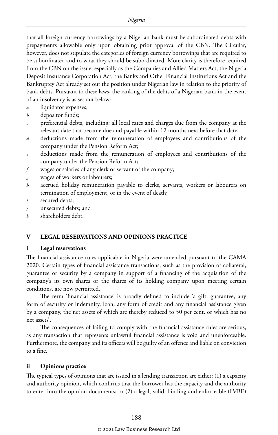that all foreign currency borrowings by a Nigerian bank must be subordinated debts with prepayments allowable only upon obtaining prior approval of the CBN. The Circular, however, does not stipulate the categories of foreign currency borrowings that are required to be subordinated and to what they should be subordinated. More clarity is therefore required from the CBN on the issue, especially as the Companies and Allied Matters Act, the Nigeria Deposit Insurance Corporation Act, the Banks and Other Financial Institutions Act and the Bankruptcy Act already set out the position under Nigerian law in relation to the priority of bank debts. Pursuant to these laws, the ranking of the debts of a Nigerian bank in the event of an insolvency is as set out below:

- *a* liquidator expenses;
- *b* depositor funds;
- *c* preferential debts, including: all local rates and charges due from the company at the relevant date that became due and payable within 12 months next before that date;
- *d* deductions made from the remuneration of employees and contributions of the company under the Pension Reform Act;
- *e* deductions made from the remuneration of employees and contributions of the company under the Pension Reform Act;
- *f* wages or salaries of any clerk or servant of the company;
- *g* wages of workers or labourers;
- *h* accrued holiday remuneration payable to clerks, servants, workers or labourers on termination of employment, or in the event of death;
- *i* secured debts;
- *j* unsecured debts; and
- *k* shareholders debt.

# **V LEGAL RESERVATIONS AND OPINIONS PRACTICE**

### **i Legal reservations**

The financial assistance rules applicable in Nigeria were amended pursuant to the CAMA 2020. Certain types of financial assistance transactions, such as the provision of collateral, guarantee or security by a company in support of a financing of the acquisition of the company's its own shares or the shares of its holding company upon meeting certain conditions, are now permitted.

The term 'financial assistance' is broadly defined to include 'a gift, guarantee, any form of security or indemnity, loan, any form of credit and any financial assistance given by a company, the net assets of which are thereby reduced to 50 per cent, or which has no net assets'.

The consequences of failing to comply with the financial assistance rules are serious, as any transaction that represents unlawful financial assistance is void and unenforceable. Furthermore, the company and its officers will be guilty of an offence and liable on conviction to a fine.

### **ii Opinions practice**

The typical types of opinions that are issued in a lending transaction are either: (1) a capacity and authority opinion, which confirms that the borrower has the capacity and the authority to enter into the opinion documents; or (2) a legal, valid, binding and enforceable (LVBE)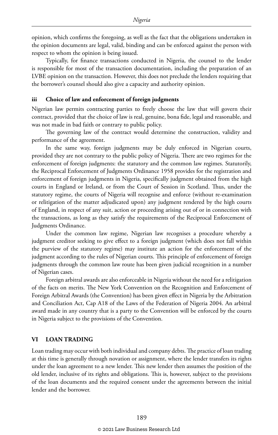opinion, which confirms the foregoing, as well as the fact that the obligations undertaken in the opinion documents are legal, valid, binding and can be enforced against the person with respect to whom the opinion is being issued.

Typically, for finance transactions conducted in Nigeria, the counsel to the lender is responsible for most of the transaction documentation, including the preparation of an LVBE opinion on the transaction. However, this does not preclude the lenders requiring that the borrower's counsel should also give a capacity and authority opinion.

#### **iii Choice of law and enforcement of foreign judgments**

Nigerian law permits contracting parties to freely choose the law that will govern their contract, provided that the choice of law is real, genuine, bona fide, legal and reasonable, and was not made in bad faith or contrary to public policy.

The governing law of the contract would determine the construction, validity and performance of the agreement.

In the same way, foreign judgments may be duly enforced in Nigerian courts, provided they are not contrary to the public policy of Nigeria. There are two regimes for the enforcement of foreign judgments: the statutory and the common law regimes. Statutorily, the Reciprocal Enforcement of Judgments Ordinance 1958 provides for the registration and enforcement of foreign judgments in Nigeria, specifically judgment obtained from the high courts in England or Ireland, or from the Court of Session in Scotland. Thus, under the statutory regime, the courts of Nigeria will recognise and enforce (without re-examination or relitigation of the matter adjudicated upon) any judgment rendered by the high courts of England, in respect of any suit, action or proceeding arising out of or in connection with the transactions, as long as they satisfy the requirements of the Reciprocal Enforcement of Judgments Ordinance.

Under the common law regime, Nigerian law recognises a procedure whereby a judgment creditor seeking to give effect to a foreign judgment (which does not fall within the purview of the statutory regime) may institute an action for the enforcement of the judgment according to the rules of Nigerian courts. This principle of enforcement of foreign judgments through the common law route has been given judicial recognition in a number of Nigerian cases.

Foreign arbitral awards are also enforceable in Nigeria without the need for a relitigation of the facts on merits. The New York Convention on the Recognition and Enforcement of Foreign Arbitral Awards (the Convention) has been given effect in Nigeria by the Arbitration and Conciliation Act, Cap A18 of the Laws of the Federation of Nigeria 2004. An arbitral award made in any country that is a party to the Convention will be enforced by the courts in Nigeria subject to the provisions of the Convention.

# **VI LOAN TRADING**

Loan trading may occur with both individual and company debts. The practice of loan trading at this time is generally through novation or assignment, where the lender transfers its rights under the loan agreement to a new lender. This new lender then assumes the position of the old lender, inclusive of its rights and obligations. This is, however, subject to the provisions of the loan documents and the required consent under the agreements between the initial lender and the borrower.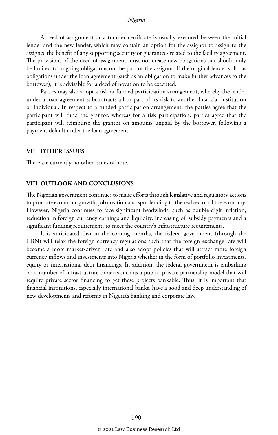A deed of assignment or a transfer certificate is usually executed between the initial lender and the new lender, which may contain an option for the assignor to assign to the assignee the benefit of any supporting security or guarantees related to the facility agreement. The provisions of the deed of assignment must not create new obligations but should only be limited to ongoing obligations on the part of the assignor. If the original lender still has obligations under the loan agreement (such as an obligation to make further advances to the borrower), it is advisable for a deed of novation to be executed.

Parties may also adopt a risk or funded participation arrangement, whereby the lender under a loan agreement subcontracts all or part of its risk to another financial institution or individual. In respect to a funded participation arrangement, the parties agree that the participant will fund the grantor, whereas for a risk participation, parties agree that the participant will reimburse the grantor on amounts unpaid by the borrower, following a payment default under the loan agreement.

# **VII OTHER ISSUES**

There are currently no other issues of note.

# **VIII OUTLOOK AND CONCLUSIONS**

The Nigerian government continues to make efforts through legislative and regulatory actions to promote economic growth, job creation and spur lending to the real sector of the economy. However, Nigeria continues to face significant headwinds, such as double-digit inflation, reduction in foreign currency earnings and liquidity, increasing oil subsidy payments and a significant funding requirement, to meet the country's infrastructure requirements.

It is anticipated that in the coming months, the federal government (through the CBN) will relax the foreign currency regulations such that the foreign exchange rate will become a more market-driven rate and also adopt policies that will attract more foreign currency inflows and investments into Nigeria whether in the form of portfolio investments, equity or international debt financings. In addition, the federal government is embarking on a number of infrastructure projects such as a public–private partnership model that will require private sector financing to get these projects bankable. Thus, it is important that financial institutions, especially international banks, have a good and deep understanding of new developments and reforms in Nigeria's banking and corporate law.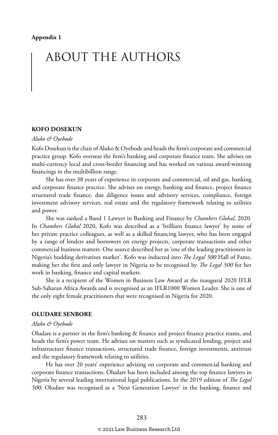# ABOUT THE AUTHORS

### **KOFO DOSEKUN**

#### *Aluko & Oyebode*

Kofo Dosekun is the chair of Aluko & Oyebode and heads the firm's corporate and commercial practice group. Kofo overseas the firm's banking and corporate finance team. She advises on multi-currency local and cross-border financing and has worked on various award-winning financings in the multibillion range.

She has over 38 years of experience in corporate and commercial, oil and gas, banking and corporate finance practice. She advises on energy, banking and finance, project finance structured trade finance, due diligence issues and advisory services, compliance, foreign investment advisory services, real estate and the regulatory framework relating to utilities and power.

She was ranked a Band 1 Lawyer in Banking and Finance by *Chambers Global*, 2020. In *Chambers Global* 2020, Kofo was described as a 'brilliant finance lawyer' by some of her private practice colleagues, as well as a skilled financing lawyer, who has been engaged by a range of lenders and borrowers on energy projects, corporate transactions and other commercial business matters. One source described her as 'one of the leading practitioners in Nigeria's budding derivatives market'. Kofo was inducted into *The Legal 500* Hall of Fame, making her the first and only lawyer in Nigeria to be recognised by *The Legal 500* for her work in banking, finance and capital markets.

She is a recipient of the Women in Business Law Award at the inaugural 2020 IFLR Sub-Saharan Africa Awards and is recognised as an IFLR1000 Women Leader. She is one of the only eight female practitioners that were recognised in Nigeria for 2020.

# **OLUDARE SENBORE**

#### *Aluko & Oyebode*

Oludare is a partner in the firm's banking & finance and project finance practice teams, and heads the firm's power team. He advises on matters such as syndicated lending, project and infrastructure finance transactions, structured trade finance, foreign investments, antitrust and the regulatory framework relating to utilities.

He has over 20 years' experience advising on corporate and commercial banking and corporate finance transactions. Oludare has been included among the top finance lawyers in Nigeria by several leading international legal publications. In the 2019 edition of *The Legal 500*, Oludare was recognised as a 'Next Generation Lawyer' in the banking, finance and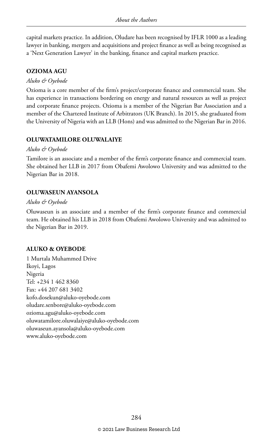capital markets practice. In addition, Oludare has been recognised by IFLR 1000 as a leading lawyer in banking, mergers and acquisitions and project finance as well as being recognised as a 'Next Generation Lawyer' in the banking, finance and capital markets practice.

# **OZIOMA AGU**

# *Aluko & Oyebode*

Ozioma is a core member of the firm's project/corporate finance and commercial team. She has experience in transactions bordering on energy and natural resources as well as project and corporate finance projects. Ozioma is a member of the Nigerian Bar Association and a member of the Chartered Institute of Arbitrators (UK Branch). In 2015, she graduated from the University of Nigeria with an LLB (Hons) and was admitted to the Nigerian Bar in 2016.

# **OLUWATAMILORE OLUWALAIYE**

# *Aluko & Oyebode*

Tamilore is an associate and a member of the firm's corporate finance and commercial team. She obtained her LLB in 2017 from Obafemi Awolowo University and was admitted to the Nigerian Bar in 2018.

# **OLUWASEUN AYANSOLA**

# *Aluko & Oyebode*

Oluwaseun is an associate and a member of the firm's corporate finance and commercial team. He obtained his LLB in 2018 from Obafemi Awolowo University and was admitted to the Nigerian Bar in 2019.

# **ALUKO & OYEBODE**

1 Murtala Muhammed Drive Ikoyi, Lagos Nigeria Tel: +234 1 462 8360 Fax: +44 207 681 3402 kofo.dosekun@aluko-oyebode.com oludare.senbore@aluko-oyebode.com ozioma.agu@aluko-oyebode.com oluwatamilore.oluwalaiye@aluko-oyebode.com oluwaseun.ayansola@aluko-oyebode.com www.aluko-oyebode.com